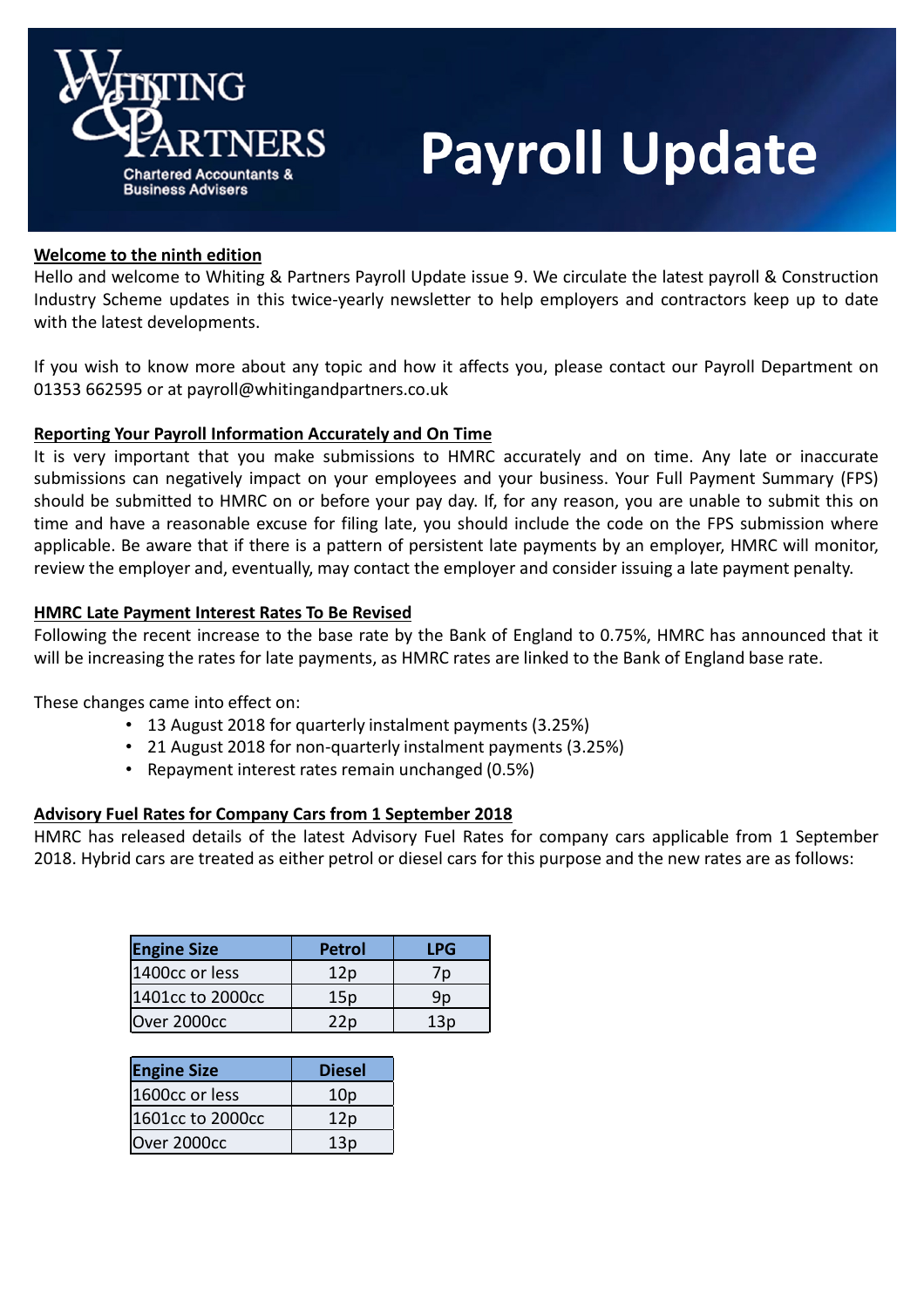

# **Payroll Update**

## Welcome to the ninth edition

Hello and welcome to Whiting & Partners Payroll Update issue 9. We circulate the latest payroll & Construction Industry Scheme updates in this twice-yearly newsletter to help employers and contractors keep up to date with the latest developments.

If you wish to know more about any topic and how it affects you, please contact our Payroll Department on 01353 662595 or at payroll@whitingandpartners.co.uk

# Reporting Your Payroll Information Accurately and On Time

It is very important that you make submissions to HMRC accurately and on time. Any late or inaccurate submissions can negatively impact on your employees and your business. Your Full Payment Summary (FPS) should be submitted to HMRC on or before your pay day. If, for any reason, you are unable to submit this on time and have a reasonable excuse for filing late, you should include the code on the FPS submission where applicable. Be aware that if there is a pattern of persistent late payments by an employer, HMRC will monitor, review the employer and, eventually, may contact the employer and consider issuing a late payment penalty.

## HMRC Late Payment Interest Rates To Be Revised

Following the recent increase to the base rate by the Bank of England to 0.75%, HMRC has announced that it will be increasing the rates for late payments, as HMRC rates are linked to the Bank of England base rate.

These changes came into effect on:

- 13 August 2018 for quarterly instalment payments (3.25%)
- 21 August 2018 for non-quarterly instalment payments (3.25%)
- Repayment interest rates remain unchanged (0.5%)

## Advisory Fuel Rates for Company Cars from 1 September 2018

HMRC has released details of the latest Advisory Fuel Rates for company cars applicable from 1 September 2018. Hybrid cars are treated as either petrol or diesel cars for this purpose and the new rates are as follows:

| <b>Engine Size</b> | <b>Petrol</b> | LPG |
|--------------------|---------------|-----|
| 1400cc or less     | 12p           |     |
| 1401cc to 2000cc   | 15p           | 9p  |
| Over 2000cc        | 22p           | 13o |

| <b>Engine Size</b> | <b>Diesel</b>   |
|--------------------|-----------------|
| 1600cc or less     | 10 <sub>p</sub> |
| 1601cc to 2000cc   | 12p             |
| Over 2000cc        | 13p             |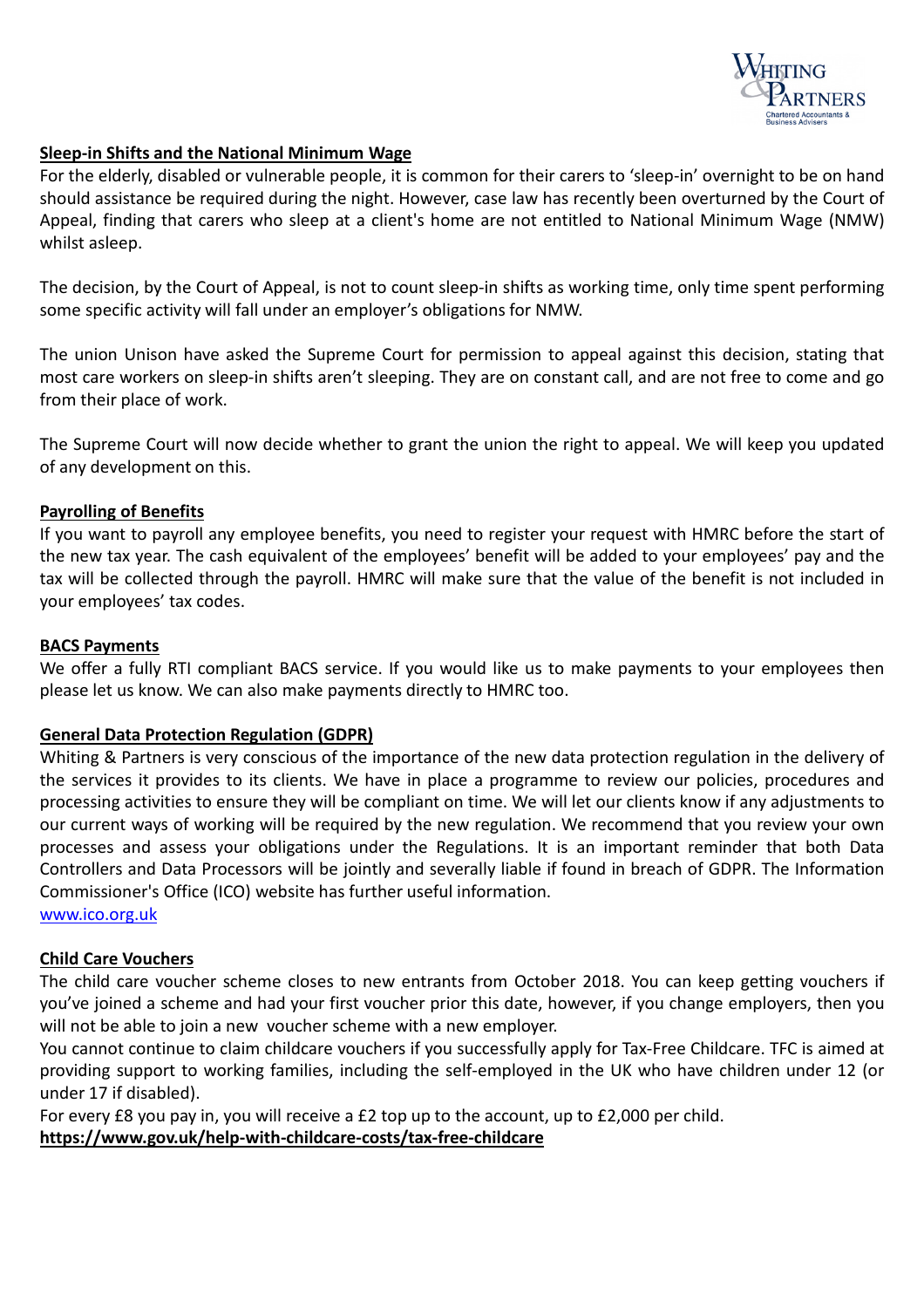

# Sleep-in Shifts and the National Minimum Wage

For the elderly, disabled or vulnerable people, it is common for their carers to 'sleep-in' overnight to be on hand should assistance be required during the night. However, case law has recently been overturned by the Court of Appeal, finding that carers who sleep at a client's home are not entitled to National Minimum Wage (NMW) whilst asleep.

The decision, by the Court of Appeal, is not to count sleep-in shifts as working time, only time spent performing some specific activity will fall under an employer's obligations for NMW.

The union Unison have asked the Supreme Court for permission to appeal against this decision, stating that most care workers on sleep-in shifts aren't sleeping. They are on constant call, and are not free to come and go from their place of work.

The Supreme Court will now decide whether to grant the union the right to appeal. We will keep you updated of any development on this.

## Payrolling of Benefits

If you want to payroll any employee benefits, you need to register your request with HMRC before the start of the new tax year. The cash equivalent of the employees' benefit will be added to your employees' pay and the tax will be collected through the payroll. HMRC will make sure that the value of the benefit is not included in your employees' tax codes.

#### BACS Payments

We offer a fully RTI compliant BACS service. If you would like us to make payments to your employees then please let us know. We can also make payments directly to HMRC too.

## General Data Protection Regulation (GDPR)

Whiting & Partners is very conscious of the importance of the new data protection regulation in the delivery of the services it provides to its clients. We have in place a programme to review our policies, procedures and processing activities to ensure they will be compliant on time. We will let our clients know if any adjustments to our current ways of working will be required by the new regulation. We recommend that you review your own processes and assess your obligations under the Regulations. It is an important reminder that both Data Controllers and Data Processors will be jointly and severally liable if found in breach of GDPR. The Information Commissioner's Office (ICO) website has further useful information.

www.ico.org.uk

## Child Care Vouchers

The child care voucher scheme closes to new entrants from October 2018. You can keep getting vouchers if you've joined a scheme and had your first voucher prior this date, however, if you change employers, then you will not be able to join a new voucher scheme with a new employer.

You cannot continue to claim childcare vouchers if you successfully apply for Tax-Free Childcare. TFC is aimed at providing support to working families, including the self-employed in the UK who have children under 12 (or under 17 if disabled).

For every £8 you pay in, you will receive a £2 top up to the account, up to £2,000 per child.

https://www.gov.uk/help-with-childcare-costs/tax-free-childcare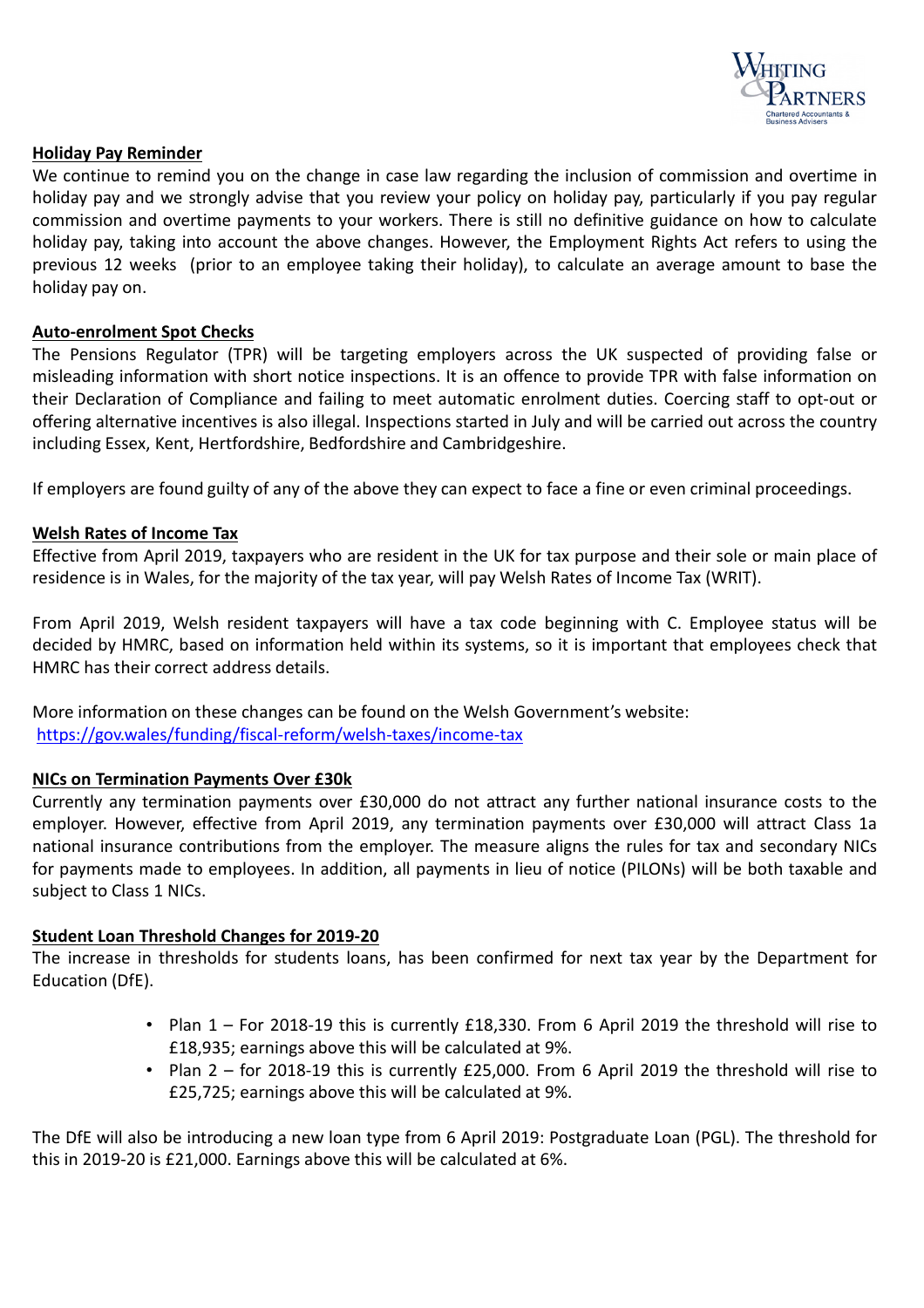

## Holiday Pay Reminder

We continue to remind you on the change in case law regarding the inclusion of commission and overtime in holiday pay and we strongly advise that you review your policy on holiday pay, particularly if you pay regular commission and overtime payments to your workers. There is still no definitive guidance on how to calculate holiday pay, taking into account the above changes. However, the Employment Rights Act refers to using the previous 12 weeks (prior to an employee taking their holiday), to calculate an average amount to base the holiday pay on.

## Auto-enrolment Spot Checks

The Pensions Regulator (TPR) will be targeting employers across the UK suspected of providing false or misleading information with short notice inspections. It is an offence to provide TPR with false information on their Declaration of Compliance and failing to meet automatic enrolment duties. Coercing staff to opt-out or offering alternative incentives is also illegal. Inspections started in July and will be carried out across the country including Essex, Kent, Hertfordshire, Bedfordshire and Cambridgeshire.

If employers are found guilty of any of the above they can expect to face a fine or even criminal proceedings.

#### Welsh Rates of Income Tax

Effective from April 2019, taxpayers who are resident in the UK for tax purpose and their sole or main place of residence is in Wales, for the majority of the tax year, will pay Welsh Rates of Income Tax (WRIT).

From April 2019, Welsh resident taxpayers will have a tax code beginning with C. Employee status will be decided by HMRC, based on information held within its systems, so it is important that employees check that HMRC has their correct address details.

More information on these changes can be found on the Welsh Government's website: https://gov.wales/funding/fiscal-reform/welsh-taxes/income-tax

#### NICs on Termination Payments Over £30k

Currently any termination payments over £30,000 do not attract any further national insurance costs to the employer. However, effective from April 2019, any termination payments over £30,000 will attract Class 1a national insurance contributions from the employer. The measure aligns the rules for tax and secondary NICs for payments made to employees. In addition, all payments in lieu of notice (PILONs) will be both taxable and subject to Class 1 NICs.

## Student Loan Threshold Changes for 2019-20

The increase in thresholds for students loans, has been confirmed for next tax year by the Department for Education (DfE).

- Plan 1 For 2018-19 this is currently £18,330. From 6 April 2019 the threshold will rise to £18,935; earnings above this will be calculated at 9%.
- Plan 2 for 2018-19 this is currently £25,000. From 6 April 2019 the threshold will rise to £25,725; earnings above this will be calculated at 9%.

The DfE will also be introducing a new loan type from 6 April 2019: Postgraduate Loan (PGL). The threshold for this in 2019-20 is £21,000. Earnings above this will be calculated at 6%.